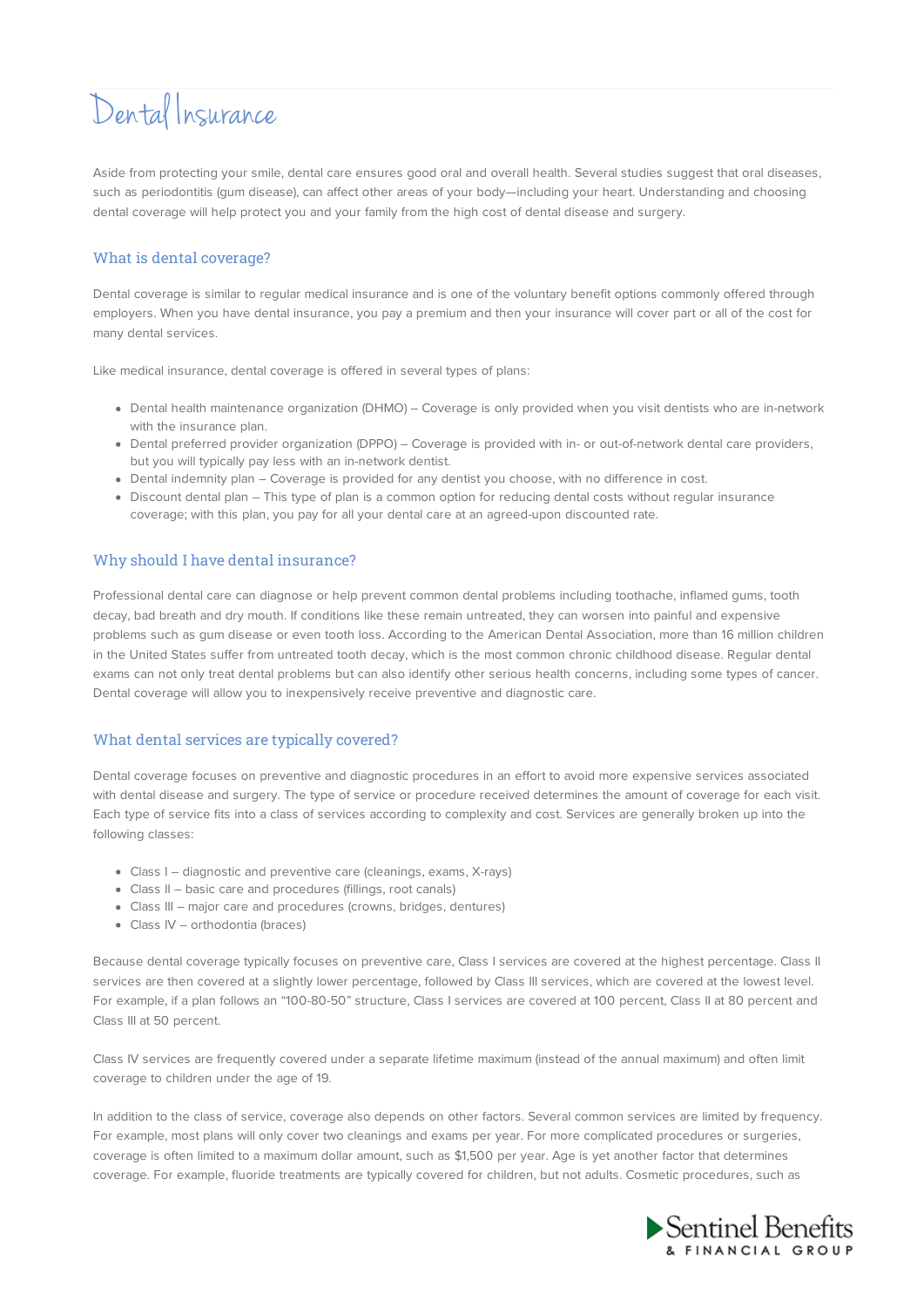# Dental Insurance

Aside from protecting your smile, dental care ensures good oral and overall health. Several studies suggest that oral diseases, such as periodontitis (gum disease), can affect other areas of your body—including your heart. Understanding and choosing dental coverage will help protect you and your family from the high cost of dental disease and surgery.

# What is dental coverage?

Dental coverage is similar to regular medical insurance and is one of the voluntary benefit options commonly offered through employers. When you have dental insurance, you pay a premium and then your insurance will cover part or all of the cost for many dental services.

Like medical insurance, dental coverage is offered in several types of plans:

- Dental health maintenance organization (DHMO) Coverage is only provided when you visit dentists who are in-network with the insurance plan.
- Dental preferred provider organization (DPPO) Coverage is provided with in- or out-of-network dental care providers, but you will typically pay less with an in-network dentist.
- Dental indemnity plan Coverage is provided for any dentist you choose, with no difference in cost.
- Discount dental plan This type of plan is a common option for reducing dental costs without regular insurance coverage; with this plan, you pay for all your dental care at an agreed-upon discounted rate.

## Why should I have dental insurance?

Professional dental care can diagnose or help prevent common dental problems including toothache, inflamed gums, tooth decay, bad breath and dry mouth. If conditions like these remain untreated, they can worsen into painful and expensive problems such as gum disease or even tooth loss. According to the American Dental Association, more than 16 million children in the United States suffer from untreated tooth decay, which is the most common chronic childhood disease. Regular dental exams can not only treat dental problems but can also identify other serious health concerns, including some types of cancer. Dental coverage will allow you to inexpensively receive preventive and diagnostic care.

### What dental services are typically covered?

Dental coverage focuses on preventive and diagnostic procedures in an effort to avoid more expensive services associated with dental disease and surgery. The type of service or procedure received determines the amount of coverage for each visit. Each type of service fits into a class of services according to complexity and cost. Services are generally broken up into the following classes:

- Class I diagnostic and preventive care (cleanings, exams, X-rays)
- Class II basic care and procedures (fillings, root canals)
- Class III major care and procedures (crowns, bridges, dentures)
- Class IV orthodontia (braces)

Because dental coverage typically focuses on preventive care, Class I services are covered at the highest percentage. Class II services are then covered at a slightly lower percentage, followed by Class III services, which are covered at the lowest level. For example, if a plan follows an "100-80-50" structure, Class I services are covered at 100 percent, Class II at 80 percent and Class III at 50 percent.

Class IV services are frequently covered under a separate lifetime maximum (instead of the annual maximum) and often limit coverage to children under the age of 19.

In addition to the class of service, coverage also depends on other factors. Several common services are limited by frequency. For example, most plans will only cover two cleanings and exams per year. For more complicated procedures or surgeries, coverage is often limited to a maximum dollar amount, such as \$1,500 per year. Age is yet another factor that determines coverage. For example, fluoride treatments are typically covered for children, but not adults. Cosmetic procedures, such as